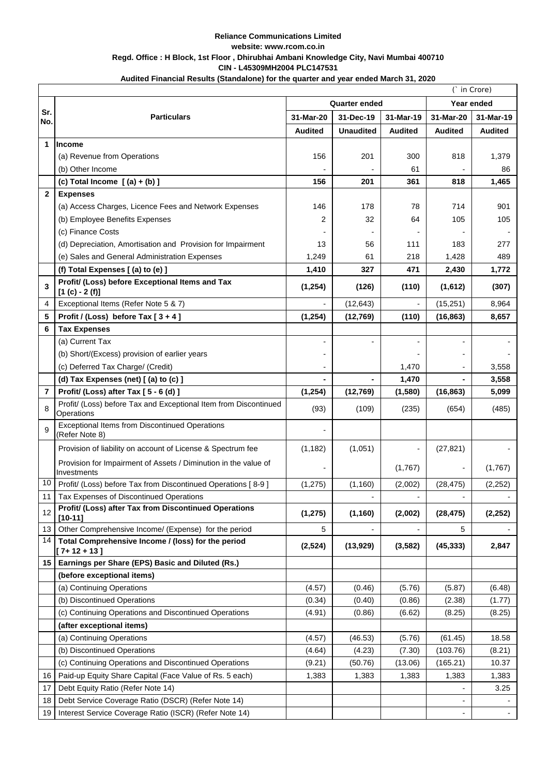#### **Reliance Communications Limited website: www.rcom.co.in Regd. Office : H Block, 1st Floor , Dhirubhai Ambani Knowledge City, Navi Mumbai 400710 CIN - L45309MH2004 PLC147531**

## **Audited Financial Results (Standalone) for the quarter and year ended March 31, 2020**

|                | (` in Crore)                                                                   |                      |                  |                |                          |                |
|----------------|--------------------------------------------------------------------------------|----------------------|------------------|----------------|--------------------------|----------------|
|                |                                                                                | <b>Quarter ended</b> |                  |                | Year ended               |                |
| Sr.<br>No.     | <b>Particulars</b>                                                             | 31-Mar-20            | 31-Dec-19        | 31-Mar-19      | 31-Mar-20                | 31-Mar-19      |
|                |                                                                                | <b>Audited</b>       | <b>Unaudited</b> | <b>Audited</b> | <b>Audited</b>           | <b>Audited</b> |
| 1              | Income                                                                         |                      |                  |                |                          |                |
|                | (a) Revenue from Operations                                                    | 156                  | 201              | 300            | 818                      | 1,379          |
|                | (b) Other Income                                                               |                      |                  | 61             |                          | 86             |
|                | (c) Total Income $[(a) + (b)]$                                                 | 156                  | 201              | 361            | 818                      | 1,465          |
| $\mathbf{2}$   | <b>Expenses</b>                                                                |                      |                  |                |                          |                |
|                | (a) Access Charges, Licence Fees and Network Expenses                          | 146                  | 178              | 78             | 714                      | 901            |
|                | (b) Employee Benefits Expenses                                                 | 2                    | 32               | 64             | 105                      | 105            |
|                | (c) Finance Costs                                                              |                      |                  |                |                          |                |
|                | (d) Depreciation, Amortisation and Provision for Impairment                    | 13                   | 56               | 111            | 183                      | 277            |
|                | (e) Sales and General Administration Expenses                                  | 1,249                | 61               | 218            | 1,428                    | 489            |
|                | (f) Total Expenses [(a) to (e) ]                                               | 1,410                | 327              | 471            | 2,430                    | 1,772          |
| 3              | Profit/ (Loss) before Exceptional Items and Tax<br>$[1 (c) - 2 (f)]$           | (1,254)              | (126)            | (110)          | (1,612)                  | (307)          |
| 4              | Exceptional Items (Refer Note 5 & 7)                                           |                      | (12, 643)        |                | (15, 251)                | 8,964          |
| 5              | Profit / (Loss) before Tax $[3+4]$                                             | (1,254)              | (12,769)         | (110)          | (16, 863)                | 8,657          |
| 6              | <b>Tax Expenses</b>                                                            |                      |                  |                |                          |                |
|                | (a) Current Tax                                                                |                      |                  |                | $\overline{\phantom{0}}$ |                |
|                | (b) Short/(Excess) provision of earlier years                                  |                      |                  |                |                          |                |
|                | (c) Deferred Tax Charge/ (Credit)                                              |                      |                  | 1,470          |                          | 3,558          |
|                | (d) Tax Expenses (net) [(a) to (c) ]                                           |                      |                  | 1,470          |                          | 3,558          |
| $\overline{7}$ | Profit/ (Loss) after Tax [5 - 6 (d) ]                                          | (1, 254)             | (12, 769)        | (1,580)        | (16, 863)                | 5,099          |
| 8              | Profit/ (Loss) before Tax and Exceptional Item from Discontinued<br>Operations | (93)                 | (109)            | (235)          | (654)                    | (485)          |
| 9              | <b>Exceptional Items from Discontinued Operations</b><br>(Refer Note 8)        |                      |                  |                |                          |                |
|                | Provision of liability on account of License & Spectrum fee                    | (1, 182)             | (1,051)          |                | (27, 821)                |                |
|                | Provision for Impairment of Assets / Diminution in the value of<br>Investments |                      |                  | (1,767)        |                          | (1,767)        |
| 10             | Profit/ (Loss) before Tax from Discontinued Operations [8-9]                   | (1, 275)             | (1,160)          | (2,002)        | (28, 475)                | (2, 252)       |
| 11             | Tax Expenses of Discontinued Operations                                        |                      |                  |                |                          |                |
| 12             | Profit/ (Loss) after Tax from Discontinued Operations<br>$[10 - 11]$           | (1, 275)             | (1, 160)         | (2,002)        | (28, 475)                | (2, 252)       |
| 13             | Other Comprehensive Income/ (Expense) for the period                           | 5                    |                  |                | 5                        |                |
| 14             | Total Comprehensive Income / (loss) for the period<br>$[7+12+13]$              | (2,524)              | (13, 929)        | (3, 582)       | (45, 333)                | 2,847          |
| 15             | Earnings per Share (EPS) Basic and Diluted (Rs.)                               |                      |                  |                |                          |                |
|                | (before exceptional items)                                                     |                      |                  |                |                          |                |
|                | (a) Continuing Operations                                                      | (4.57)               | (0.46)           | (5.76)         | (5.87)                   | (6.48)         |
|                | (b) Discontinued Operations                                                    | (0.34)               | (0.40)           | (0.86)         | (2.38)                   | (1.77)         |
|                | (c) Continuing Operations and Discontinued Operations                          | (4.91)               | (0.86)           | (6.62)         | (8.25)                   | (8.25)         |
|                | (after exceptional items)                                                      |                      |                  |                |                          |                |
|                | (a) Continuing Operations                                                      | (4.57)               | (46.53)          | (5.76)         | (61.45)                  | 18.58          |
|                | (b) Discontinued Operations                                                    | (4.64)               | (4.23)           | (7.30)         | (103.76)                 | (8.21)         |
|                | (c) Continuing Operations and Discontinued Operations                          | (9.21)               | (50.76)          | (13.06)        | (165.21)                 | 10.37          |
| 16             | Paid-up Equity Share Capital (Face Value of Rs. 5 each)                        | 1,383                | 1,383            | 1,383          | 1,383                    | 1,383          |
| 17             | Debt Equity Ratio (Refer Note 14)                                              |                      |                  |                |                          | 3.25           |
| 18             | Debt Service Coverage Ratio (DSCR) (Refer Note 14)                             |                      |                  |                |                          |                |
| 19             | Interest Service Coverage Ratio (ISCR) (Refer Note 14)                         |                      |                  |                |                          |                |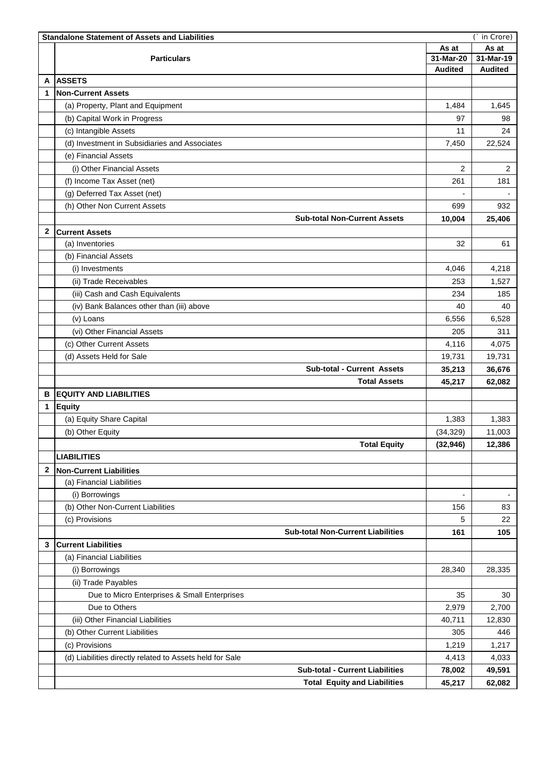|              | <b>Standalone Statement of Assets and Liabilities</b><br>in Crore) |                |                |  |  |  |
|--------------|--------------------------------------------------------------------|----------------|----------------|--|--|--|
|              |                                                                    |                | As at          |  |  |  |
|              | <b>Particulars</b>                                                 | 31-Mar-20      | 31-Mar-19      |  |  |  |
|              |                                                                    | <b>Audited</b> | <b>Audited</b> |  |  |  |
| A            | <b>ASSETS</b>                                                      |                |                |  |  |  |
| 1            | <b>Non-Current Assets</b>                                          |                |                |  |  |  |
|              | (a) Property, Plant and Equipment                                  | 1,484          | 1,645          |  |  |  |
|              | (b) Capital Work in Progress                                       | 97             | 98             |  |  |  |
|              | (c) Intangible Assets                                              | 11             | 24             |  |  |  |
|              | (d) Investment in Subsidiaries and Associates                      | 7,450          | 22,524         |  |  |  |
|              | (e) Financial Assets                                               |                |                |  |  |  |
|              | (i) Other Financial Assets                                         | 2              | $\overline{2}$ |  |  |  |
|              | (f) Income Tax Asset (net)                                         | 261            | 181            |  |  |  |
|              | (g) Deferred Tax Asset (net)                                       |                |                |  |  |  |
|              | (h) Other Non Current Assets                                       | 699            | 932            |  |  |  |
|              | <b>Sub-total Non-Current Assets</b>                                | 10,004         | 25,406         |  |  |  |
|              |                                                                    |                |                |  |  |  |
| $\mathbf{2}$ | <b>Current Assets</b>                                              |                |                |  |  |  |
|              | (a) Inventories                                                    | 32             | 61             |  |  |  |
|              | (b) Financial Assets                                               |                |                |  |  |  |
|              | (i) Investments                                                    | 4,046          | 4,218          |  |  |  |
|              | (ii) Trade Receivables                                             | 253            | 1,527          |  |  |  |
|              | (iii) Cash and Cash Equivalents                                    | 234            | 185            |  |  |  |
|              | (iv) Bank Balances other than (iii) above                          | 40             | 40             |  |  |  |
|              | (v) Loans                                                          | 6,556          | 6,528          |  |  |  |
|              | (vi) Other Financial Assets                                        | 205            | 311            |  |  |  |
|              | (c) Other Current Assets                                           | 4,116          | 4,075          |  |  |  |
|              | (d) Assets Held for Sale                                           | 19,731         | 19,731         |  |  |  |
|              | <b>Sub-total - Current Assets</b>                                  | 35,213         | 36,676         |  |  |  |
|              | <b>Total Assets</b>                                                | 45,217         | 62,082         |  |  |  |
| в            | <b>EQUITY AND LIABILITIES</b>                                      |                |                |  |  |  |
| 1            | <b>Equity</b>                                                      |                |                |  |  |  |
|              | (a) Equity Share Capital                                           | 1,383          | 1,383          |  |  |  |
|              | (b) Other Equity                                                   | (34, 329)      | 11,003         |  |  |  |
|              | <b>Total Equity</b>                                                | (32, 946)      | 12,386         |  |  |  |
|              | <b>LIABILITIES</b>                                                 |                |                |  |  |  |
| $\mathbf{2}$ |                                                                    |                |                |  |  |  |
|              | <b>Non-Current Liabilities</b><br>(a) Financial Liabilities        |                |                |  |  |  |
|              |                                                                    |                |                |  |  |  |
|              | (i) Borrowings                                                     |                |                |  |  |  |
|              | (b) Other Non-Current Liabilities                                  | 156            | 83             |  |  |  |
|              | (c) Provisions                                                     | 5              | 22             |  |  |  |
|              | <b>Sub-total Non-Current Liabilities</b>                           | 161            | 105            |  |  |  |
| 3            | <b>Current Liabilities</b>                                         |                |                |  |  |  |
|              | (a) Financial Liabilities                                          |                |                |  |  |  |
|              | (i) Borrowings                                                     | 28,340         | 28,335         |  |  |  |
|              | (ii) Trade Payables                                                |                |                |  |  |  |
|              | Due to Micro Enterprises & Small Enterprises                       | 35             | 30             |  |  |  |
|              | Due to Others                                                      | 2,979          | 2,700          |  |  |  |
|              | (iii) Other Financial Liabilities                                  | 40,711         | 12,830         |  |  |  |
|              | (b) Other Current Liabilities                                      | 305            | 446            |  |  |  |
|              | (c) Provisions                                                     | 1,219          | 1,217          |  |  |  |
|              | (d) Liabilities directly related to Assets held for Sale           | 4,413          | 4,033          |  |  |  |
|              | <b>Sub-total - Current Liabilities</b>                             | 78,002         | 49,591         |  |  |  |
|              | <b>Total Equity and Liabilities</b>                                | 45,217         | 62,082         |  |  |  |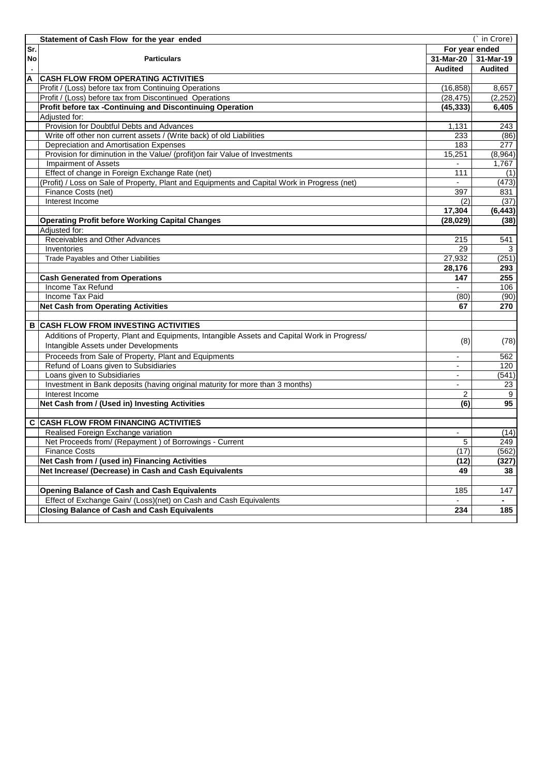|     | Statement of Cash Flow for the year ended<br>(` in Crore)                                    |                          |                |  |  |  |
|-----|----------------------------------------------------------------------------------------------|--------------------------|----------------|--|--|--|
| Sr. |                                                                                              |                          | For year ended |  |  |  |
| No  | <b>Particulars</b>                                                                           | $31-Mar-20$              | 31-Mar-19      |  |  |  |
|     |                                                                                              | <b>Audited</b>           | Audited        |  |  |  |
| А   | <b>CASH FLOW FROM OPERATING ACTIVITIES</b>                                                   |                          |                |  |  |  |
|     | Profit / (Loss) before tax from Continuing Operations                                        | (16, 858)                | 8,657          |  |  |  |
|     | Profit / (Loss) before tax from Discontinued Operations                                      | (28, 475)                | (2, 252)       |  |  |  |
|     | Profit before tax -Continuing and Discontinuing Operation                                    | (45, 333)                | 6,405          |  |  |  |
|     | Adjusted for:                                                                                |                          |                |  |  |  |
|     | Provision for Doubtful Debts and Advances                                                    | 1,131                    | 243            |  |  |  |
|     | Write off other non current assets / (Write back) of old Liabilities                         | 233                      | (86)           |  |  |  |
|     | Depreciation and Amortisation Expenses                                                       | 183                      | 277            |  |  |  |
|     | Provision for diminution in the Value/ (profit)on fair Value of Investments                  | 15,251                   | (8,964)        |  |  |  |
|     | <b>Impairment of Assets</b>                                                                  |                          | 1,767          |  |  |  |
|     | Effect of change in Foreign Exchange Rate (net)                                              | 111                      | (1)            |  |  |  |
|     | (Profit) / Loss on Sale of Property, Plant and Equipments and Capital Work in Progress (net) | $\overline{a}$           | (473)          |  |  |  |
|     | Finance Costs (net)                                                                          | 397                      | 831            |  |  |  |
|     | Interest Income                                                                              | $\overline{(2)}$         | (37)           |  |  |  |
|     |                                                                                              | 17,304                   | (6, 443)       |  |  |  |
|     | <b>Operating Profit before Working Capital Changes</b>                                       | (28, 029)                | (38)           |  |  |  |
|     | Adjusted for:                                                                                |                          |                |  |  |  |
|     | Receivables and Other Advances                                                               | 215                      | 541            |  |  |  |
|     | Inventories                                                                                  | 29                       | 3              |  |  |  |
|     | Trade Payables and Other Liabilities                                                         | 27,932                   | (251)          |  |  |  |
|     |                                                                                              | 28,176                   | 293            |  |  |  |
|     | <b>Cash Generated from Operations</b>                                                        | 147                      | 255            |  |  |  |
|     | Income Tax Refund                                                                            | $\overline{a}$           | 106            |  |  |  |
|     | Income Tax Paid                                                                              | (80)                     | (90)           |  |  |  |
|     | <b>Net Cash from Operating Activities</b>                                                    | 67                       | 270            |  |  |  |
|     |                                                                                              |                          |                |  |  |  |
|     | <b>B CASH FLOW FROM INVESTING ACTIVITIES</b>                                                 |                          |                |  |  |  |
|     | Additions of Property, Plant and Equipments, Intangible Assets and Capital Work in Progress/ |                          |                |  |  |  |
|     | Intangible Assets under Developments                                                         | (8)                      | (78)           |  |  |  |
|     |                                                                                              |                          |                |  |  |  |
|     | Proceeds from Sale of Property, Plant and Equipments                                         |                          | 562            |  |  |  |
|     | Refund of Loans given to Subsidiaries                                                        |                          | 120            |  |  |  |
|     | Loans given to Subsidiaries                                                                  | $\overline{\phantom{a}}$ | (541)          |  |  |  |
|     | Investment in Bank deposits (having original maturity for more than 3 months)                |                          | 23             |  |  |  |
|     | Interest Income                                                                              | $\overline{c}$           | $\overline{9}$ |  |  |  |
|     | Net Cash from / (Used in) Investing Activities                                               | (6)                      | 95             |  |  |  |
|     | <b>C CASH FLOW FROM FINANCING ACTIVITIES</b>                                                 |                          |                |  |  |  |
|     |                                                                                              |                          |                |  |  |  |
|     | Realised Foreign Exchange variation                                                          |                          | (14)           |  |  |  |
|     | Net Proceeds from/ (Repayment) of Borrowings - Current                                       | 5                        | 249            |  |  |  |
|     | <b>Finance Costs</b>                                                                         | (17)                     | (562)          |  |  |  |
|     | Net Cash from / (used in) Financing Activities                                               | (12)                     | (327)          |  |  |  |
|     | Net Increase/ (Decrease) in Cash and Cash Equivalents                                        | 49                       | 38             |  |  |  |
|     |                                                                                              |                          |                |  |  |  |
|     | <b>Opening Balance of Cash and Cash Equivalents</b>                                          | 185                      | 147            |  |  |  |
|     | Effect of Exchange Gain/ (Loss)(net) on Cash and Cash Equivalents                            | $\overline{\phantom{0}}$ |                |  |  |  |
|     | <b>Closing Balance of Cash and Cash Equivalents</b>                                          | 234                      | 185            |  |  |  |
|     |                                                                                              |                          |                |  |  |  |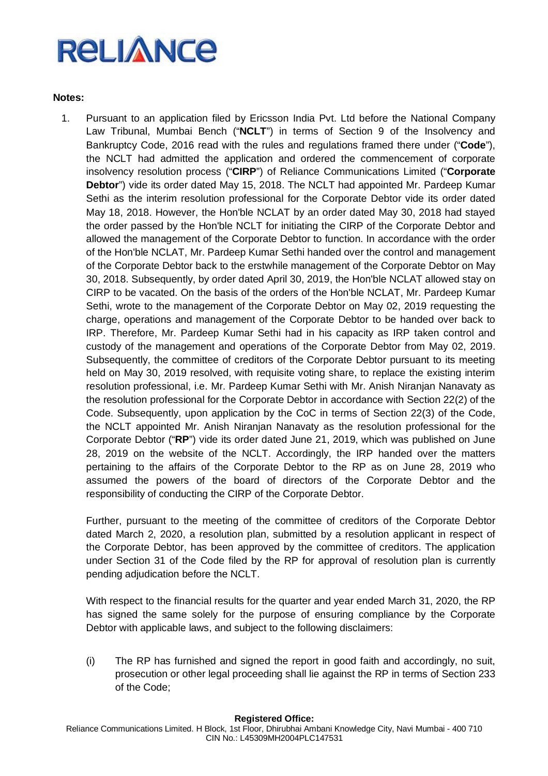## **Notes:**

1. Pursuant to an application filed by Ericsson India Pvt. Ltd before the National Company Law Tribunal, Mumbai Bench ("**NCLT**") in terms of Section 9 of the Insolvency and Bankruptcy Code, 2016 read with the rules and regulations framed there under ("**Code**"), the NCLT had admitted the application and ordered the commencement of corporate insolvency resolution process ("**CIRP**") of Reliance Communications Limited ("**Corporate Debtor**") vide its order dated May 15, 2018. The NCLT had appointed Mr. Pardeep Kumar Sethi as the interim resolution professional for the Corporate Debtor vide its order dated May 18, 2018. However, the Hon'ble NCLAT by an order dated May 30, 2018 had stayed the order passed by the Hon'ble NCLT for initiating the CIRP of the Corporate Debtor and allowed the management of the Corporate Debtor to function. In accordance with the order of the Hon'ble NCLAT, Mr. Pardeep Kumar Sethi handed over the control and management of the Corporate Debtor back to the erstwhile management of the Corporate Debtor on May 30, 2018. Subsequently, by order dated April 30, 2019, the Hon'ble NCLAT allowed stay on CIRP to be vacated. On the basis of the orders of the Hon'ble NCLAT, Mr. Pardeep Kumar Sethi, wrote to the management of the Corporate Debtor on May 02, 2019 requesting the charge, operations and management of the Corporate Debtor to be handed over back to IRP. Therefore, Mr. Pardeep Kumar Sethi had in his capacity as IRP taken control and custody of the management and operations of the Corporate Debtor from May 02, 2019. Subsequently, the committee of creditors of the Corporate Debtor pursuant to its meeting held on May 30, 2019 resolved, with requisite voting share, to replace the existing interim resolution professional, i.e. Mr. Pardeep Kumar Sethi with Mr. Anish Niranjan Nanavaty as the resolution professional for the Corporate Debtor in accordance with Section 22(2) of the Code. Subsequently, upon application by the CoC in terms of Section 22(3) of the Code, the NCLT appointed Mr. Anish Niranjan Nanavaty as the resolution professional for the Corporate Debtor ("**RP**") vide its order dated June 21, 2019, which was published on June 28, 2019 on the website of the NCLT. Accordingly, the IRP handed over the matters pertaining to the affairs of the Corporate Debtor to the RP as on June 28, 2019 who assumed the powers of the board of directors of the Corporate Debtor and the responsibility of conducting the CIRP of the Corporate Debtor.

Further, pursuant to the meeting of the committee of creditors of the Corporate Debtor dated March 2, 2020, a resolution plan, submitted by a resolution applicant in respect of the Corporate Debtor, has been approved by the committee of creditors. The application under Section 31 of the Code filed by the RP for approval of resolution plan is currently pending adjudication before the NCLT.

With respect to the financial results for the quarter and year ended March 31, 2020, the RP has signed the same solely for the purpose of ensuring compliance by the Corporate Debtor with applicable laws, and subject to the following disclaimers:

(i) The RP has furnished and signed the report in good faith and accordingly, no suit, prosecution or other legal proceeding shall lie against the RP in terms of Section 233 of the Code;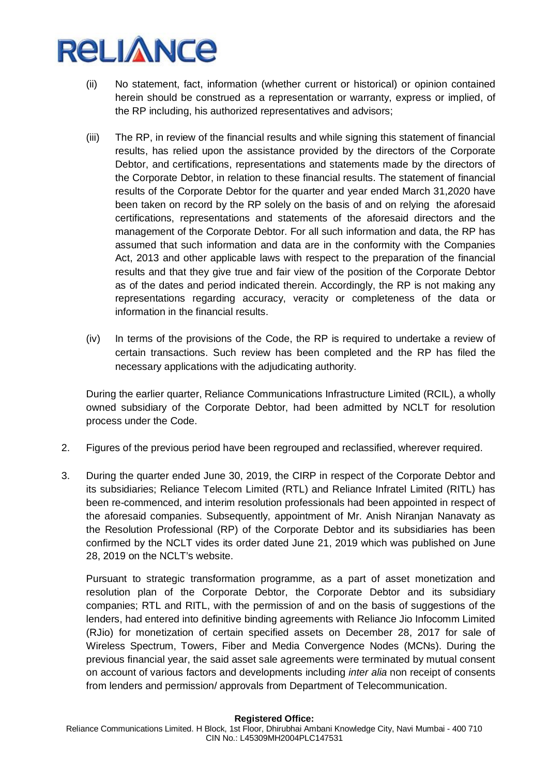- (ii) No statement, fact, information (whether current or historical) or opinion contained herein should be construed as a representation or warranty, express or implied, of the RP including, his authorized representatives and advisors;
- (iii) The RP, in review of the financial results and while signing this statement of financial results, has relied upon the assistance provided by the directors of the Corporate Debtor, and certifications, representations and statements made by the directors of the Corporate Debtor, in relation to these financial results. The statement of financial results of the Corporate Debtor for the quarter and year ended March 31,2020 have been taken on record by the RP solely on the basis of and on relying the aforesaid certifications, representations and statements of the aforesaid directors and the management of the Corporate Debtor. For all such information and data, the RP has assumed that such information and data are in the conformity with the Companies Act, 2013 and other applicable laws with respect to the preparation of the financial results and that they give true and fair view of the position of the Corporate Debtor as of the dates and period indicated therein. Accordingly, the RP is not making any representations regarding accuracy, veracity or completeness of the data or information in the financial results.
- (iv) In terms of the provisions of the Code, the RP is required to undertake a review of certain transactions. Such review has been completed and the RP has filed the necessary applications with the adjudicating authority.

During the earlier quarter, Reliance Communications Infrastructure Limited (RCIL), a wholly owned subsidiary of the Corporate Debtor, had been admitted by NCLT for resolution process under the Code.

- 2. Figures of the previous period have been regrouped and reclassified, wherever required.
- 3. During the quarter ended June 30, 2019, the CIRP in respect of the Corporate Debtor and its subsidiaries; Reliance Telecom Limited (RTL) and Reliance Infratel Limited (RITL) has been re-commenced, and interim resolution professionals had been appointed in respect of the aforesaid companies. Subsequently, appointment of Mr. Anish Niranjan Nanavaty as the Resolution Professional (RP) of the Corporate Debtor and its subsidiaries has been confirmed by the NCLT vides its order dated June 21, 2019 which was published on June 28, 2019 on the NCLT's website.

Pursuant to strategic transformation programme, as a part of asset monetization and resolution plan of the Corporate Debtor, the Corporate Debtor and its subsidiary companies; RTL and RITL, with the permission of and on the basis of suggestions of the lenders, had entered into definitive binding agreements with Reliance Jio Infocomm Limited (RJio) for monetization of certain specified assets on December 28, 2017 for sale of Wireless Spectrum, Towers, Fiber and Media Convergence Nodes (MCNs). During the previous financial year, the said asset sale agreements were terminated by mutual consent on account of various factors and developments including *inter alia* non receipt of consents from lenders and permission/ approvals from Department of Telecommunication.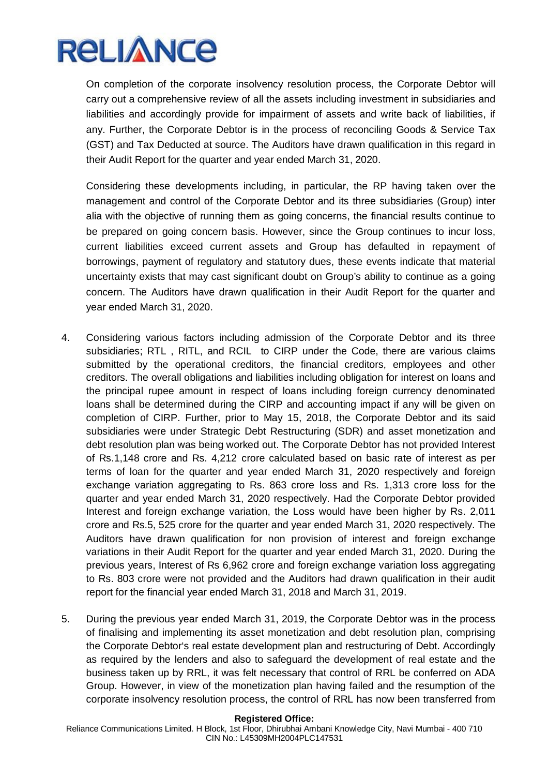On completion of the corporate insolvency resolution process, the Corporate Debtor will carry out a comprehensive review of all the assets including investment in subsidiaries and liabilities and accordingly provide for impairment of assets and write back of liabilities, if any. Further, the Corporate Debtor is in the process of reconciling Goods & Service Tax (GST) and Tax Deducted at source. The Auditors have drawn qualification in this regard in their Audit Report for the quarter and year ended March 31, 2020.

Considering these developments including, in particular, the RP having taken over the management and control of the Corporate Debtor and its three subsidiaries (Group) inter alia with the objective of running them as going concerns, the financial results continue to be prepared on going concern basis. However, since the Group continues to incur loss, current liabilities exceed current assets and Group has defaulted in repayment of borrowings, payment of regulatory and statutory dues, these events indicate that material uncertainty exists that may cast significant doubt on Group's ability to continue as a going concern. The Auditors have drawn qualification in their Audit Report for the quarter and year ended March 31, 2020.

- 4. Considering various factors including admission of the Corporate Debtor and its three subsidiaries; RTL , RITL, and RCIL to CIRP under the Code, there are various claims submitted by the operational creditors, the financial creditors, employees and other creditors. The overall obligations and liabilities including obligation for interest on loans and the principal rupee amount in respect of loans including foreign currency denominated loans shall be determined during the CIRP and accounting impact if any will be given on completion of CIRP. Further, prior to May 15, 2018, the Corporate Debtor and its said subsidiaries were under Strategic Debt Restructuring (SDR) and asset monetization and debt resolution plan was being worked out. The Corporate Debtor has not provided Interest of Rs.1,148 crore and Rs. 4,212 crore calculated based on basic rate of interest as per terms of loan for the quarter and year ended March 31, 2020 respectively and foreign exchange variation aggregating to Rs. 863 crore loss and Rs. 1,313 crore loss for the quarter and year ended March 31, 2020 respectively. Had the Corporate Debtor provided Interest and foreign exchange variation, the Loss would have been higher by Rs. 2,011 crore and Rs.5, 525 crore for the quarter and year ended March 31, 2020 respectively. The Auditors have drawn qualification for non provision of interest and foreign exchange variations in their Audit Report for the quarter and year ended March 31, 2020. During the previous years, Interest of Rs 6,962 crore and foreign exchange variation loss aggregating to Rs. 803 crore were not provided and the Auditors had drawn qualification in their audit report for the financial year ended March 31, 2018 and March 31, 2019.
- 5. During the previous year ended March 31, 2019, the Corporate Debtor was in the process of finalising and implementing its asset monetization and debt resolution plan, comprising the Corporate Debtor's real estate development plan and restructuring of Debt. Accordingly as required by the lenders and also to safeguard the development of real estate and the business taken up by RRL, it was felt necessary that control of RRL be conferred on ADA Group. However, in view of the monetization plan having failed and the resumption of the corporate insolvency resolution process, the control of RRL has now been transferred from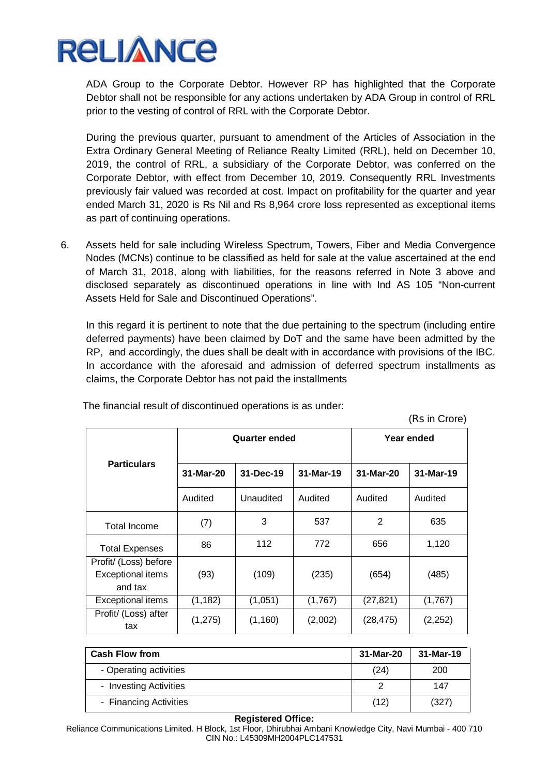

ADA Group to the Corporate Debtor. However RP has highlighted that the Corporate Debtor shall not be responsible for any actions undertaken by ADA Group in control of RRL prior to the vesting of control of RRL with the Corporate Debtor.

During the previous quarter, pursuant to amendment of the Articles of Association in the Extra Ordinary General Meeting of Reliance Realty Limited (RRL), held on December 10, 2019, the control of RRL, a subsidiary of the Corporate Debtor, was conferred on the Corporate Debtor, with effect from December 10, 2019. Consequently RRL Investments previously fair valued was recorded at cost. Impact on profitability for the quarter and year ended March 31, 2020 is Rs Nil and Rs 8,964 crore loss represented as exceptional items as part of continuing operations.

6. Assets held for sale including Wireless Spectrum, Towers, Fiber and Media Convergence Nodes (MCNs) continue to be classified as held for sale at the value ascertained at the end of March 31, 2018, along with liabilities, for the reasons referred in Note 3 above and disclosed separately as discontinued operations in line with Ind AS 105 "Non-current Assets Held for Sale and Discontinued Operations".

In this regard it is pertinent to note that the due pertaining to the spectrum (including entire deferred payments) have been claimed by DoT and the same have been admitted by the RP, and accordingly, the dues shall be dealt with in accordance with provisions of the IBC. In accordance with the aforesaid and admission of deferred spectrum installments as claims, the Corporate Debtor has not paid the installments

| $(113 \text{ m})$                                            |                      |           |           |            |           |  |
|--------------------------------------------------------------|----------------------|-----------|-----------|------------|-----------|--|
|                                                              | <b>Quarter ended</b> |           |           | Year ended |           |  |
| <b>Particulars</b>                                           | 31-Mar-20            | 31-Dec-19 | 31-Mar-19 | 31-Mar-20  | 31-Mar-19 |  |
|                                                              | Audited              | Unaudited | Audited   | Audited    | Audited   |  |
| Total Income                                                 | (7)                  | 3         | 537       | 2          | 635       |  |
| <b>Total Expenses</b>                                        | 86                   | 112       | 772       | 656        | 1,120     |  |
| Profit/ (Loss) before<br><b>Exceptional items</b><br>and tax | (93)                 | (109)     | (235)     | (654)      | (485)     |  |
| <b>Exceptional items</b>                                     | (1, 182)             | (1,051)   | (1,767)   | (27,821)   | (1,767)   |  |
| Profit/ (Loss) after<br>tax                                  | (1,275)              | (1, 160)  | (2,002)   | (28, 475)  | (2,252)   |  |

The financial result of discontinued operations is as under:

 $(Dc \text{ in } Crora)$ 

| <b>Cash Flow from</b>  | 31-Mar-20 | 31-Mar-19 |
|------------------------|-----------|-----------|
| - Operating activities | (24)      | 200       |
| - Investing Activities |           | 147       |
| - Financing Activities | (12)      | (327)     |

#### **Registered Office:**

Reliance Communications Limited. H Block, 1st Floor, Dhirubhai Ambani Knowledge City, Navi Mumbai - 400 710 CIN No.: L45309MH2004PLC147531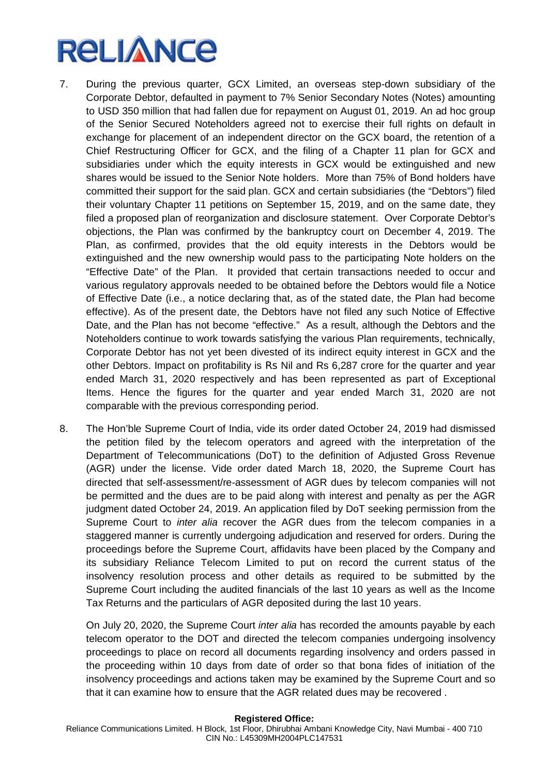- 7. During the previous quarter, GCX Limited, an overseas step-down subsidiary of the Corporate Debtor, defaulted in payment to 7% Senior Secondary Notes (Notes) amounting to USD 350 million that had fallen due for repayment on August 01, 2019. An ad hoc group of the Senior Secured Noteholders agreed not to exercise their full rights on default in exchange for placement of an independent director on the GCX board, the retention of a Chief Restructuring Officer for GCX, and the filing of a Chapter 11 plan for GCX and subsidiaries under which the equity interests in GCX would be extinguished and new shares would be issued to the Senior Note holders. More than 75% of Bond holders have committed their support for the said plan. GCX and certain subsidiaries (the "Debtors") filed their voluntary Chapter 11 petitions on September 15, 2019, and on the same date, they filed a proposed plan of reorganization and disclosure statement. Over Corporate Debtor's objections, the Plan was confirmed by the bankruptcy court on December 4, 2019. The Plan, as confirmed, provides that the old equity interests in the Debtors would be extinguished and the new ownership would pass to the participating Note holders on the "Effective Date" of the Plan. It provided that certain transactions needed to occur and various regulatory approvals needed to be obtained before the Debtors would file a Notice of Effective Date (i.e., a notice declaring that, as of the stated date, the Plan had become effective). As of the present date, the Debtors have not filed any such Notice of Effective Date, and the Plan has not become "effective." As a result, although the Debtors and the Noteholders continue to work towards satisfying the various Plan requirements, technically, Corporate Debtor has not yet been divested of its indirect equity interest in GCX and the other Debtors. Impact on profitability is Rs Nil and Rs 6,287 crore for the quarter and year ended March 31, 2020 respectively and has been represented as part of Exceptional Items. Hence the figures for the quarter and year ended March 31, 2020 are not comparable with the previous corresponding period.
- 8. The Hon'ble Supreme Court of India, vide its order dated October 24, 2019 had dismissed the petition filed by the telecom operators and agreed with the interpretation of the Department of Telecommunications (DoT) to the definition of Adjusted Gross Revenue (AGR) under the license. Vide order dated March 18, 2020, the Supreme Court has directed that self-assessment/re-assessment of AGR dues by telecom companies will not be permitted and the dues are to be paid along with interest and penalty as per the AGR judgment dated October 24, 2019. An application filed by DoT seeking permission from the Supreme Court to *inter alia* recover the AGR dues from the telecom companies in a staggered manner is currently undergoing adjudication and reserved for orders. During the proceedings before the Supreme Court, affidavits have been placed by the Company and its subsidiary Reliance Telecom Limited to put on record the current status of the insolvency resolution process and other details as required to be submitted by the Supreme Court including the audited financials of the last 10 years as well as the Income Tax Returns and the particulars of AGR deposited during the last 10 years.

On July 20, 2020, the Supreme Court *inter alia* has recorded the amounts payable by each telecom operator to the DOT and directed the telecom companies undergoing insolvency proceedings to place on record all documents regarding insolvency and orders passed in the proceeding within 10 days from date of order so that bona fides of initiation of the insolvency proceedings and actions taken may be examined by the Supreme Court and so that it can examine how to ensure that the AGR related dues may be recovered .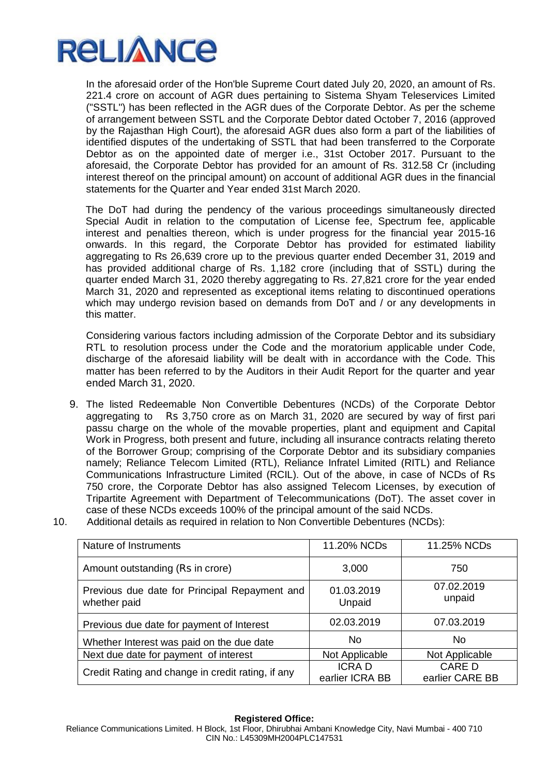

In the aforesaid order of the Hon'ble Supreme Court dated July 20, 2020, an amount of Rs. 221.4 crore on account of AGR dues pertaining to Sistema Shyam Teleservices Limited ("SSTL") has been reflected in the AGR dues of the Corporate Debtor. As per the scheme of arrangement between SSTL and the Corporate Debtor dated October 7, 2016 (approved by the Rajasthan High Court), the aforesaid AGR dues also form a part of the liabilities of identified disputes of the undertaking of SSTL that had been transferred to the Corporate Debtor as on the appointed date of merger i.e., 31st October 2017. Pursuant to the aforesaid, the Corporate Debtor has provided for an amount of Rs. 312.58 Cr (including interest thereof on the principal amount) on account of additional AGR dues in the financial statements for the Quarter and Year ended 31st March 2020.

The DoT had during the pendency of the various proceedings simultaneously directed Special Audit in relation to the computation of License fee, Spectrum fee, applicable interest and penalties thereon, which is under progress for the financial year 2015-16 onwards. In this regard, the Corporate Debtor has provided for estimated liability aggregating to Rs 26,639 crore up to the previous quarter ended December 31, 2019 and has provided additional charge of Rs. 1,182 crore (including that of SSTL) during the quarter ended March 31, 2020 thereby aggregating to Rs. 27,821 crore for the year ended March 31, 2020 and represented as exceptional items relating to discontinued operations which may undergo revision based on demands from DoT and / or any developments in this matter.

Considering various factors including admission of the Corporate Debtor and its subsidiary RTL to resolution process under the Code and the moratorium applicable under Code, discharge of the aforesaid liability will be dealt with in accordance with the Code. This matter has been referred to by the Auditors in their Audit Report for the quarter and year ended March 31, 2020.

- 9. The listed Redeemable Non Convertible Debentures (NCDs) of the Corporate Debtor aggregating to Rs 3,750 crore as on March 31, 2020 are secured by way of first pari passu charge on the whole of the movable properties, plant and equipment and Capital Work in Progress, both present and future, including all insurance contracts relating thereto of the Borrower Group; comprising of the Corporate Debtor and its subsidiary companies namely; Reliance Telecom Limited (RTL), Reliance Infratel Limited (RITL) and Reliance Communications Infrastructure Limited (RCIL). Out of the above, in case of NCDs of Rs 750 crore, the Corporate Debtor has also assigned Telecom Licenses, by execution of Tripartite Agreement with Department of Telecommunications (DoT). The asset cover in case of these NCDs exceeds 100% of the principal amount of the said NCDs.
- 10. Additional details as required in relation to Non Convertible Debentures (NCDs):

| Nature of Instruments                                         | 11.20% NCDs          | 11.25% NCDs          |
|---------------------------------------------------------------|----------------------|----------------------|
| Amount outstanding (Rs in crore)                              | 3,000                | 750                  |
| Previous due date for Principal Repayment and<br>whether paid | 01.03.2019<br>Unpaid | 07.02.2019<br>unpaid |
|                                                               |                      |                      |
| Previous due date for payment of Interest                     | 02.03.2019           | 07.03.2019           |
| Whether Interest was paid on the due date                     | N <sub>0</sub>       | <b>No</b>            |
| Next due date for payment of interest                         | Not Applicable       | Not Applicable       |
| Credit Rating and change in credit rating, if any             | <b>ICRAD</b>         | CARE D               |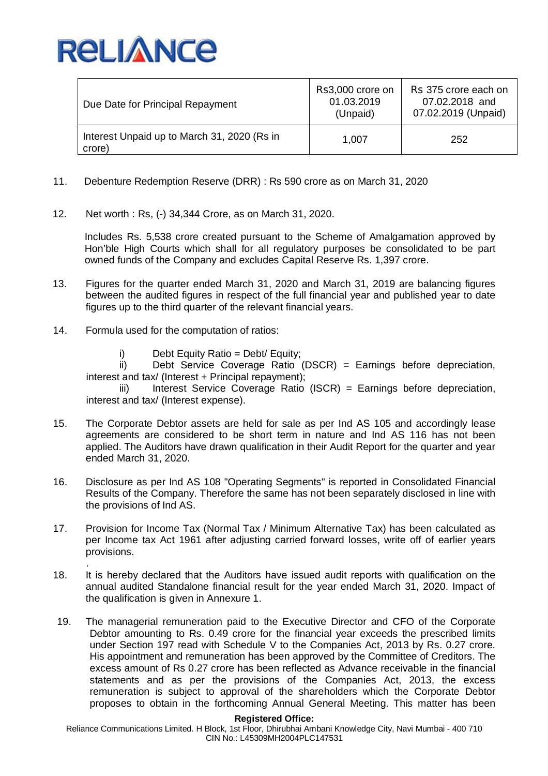

| Due Date for Principal Repayment                      | Rs3,000 crore on<br>01.03.2019<br>(Unpaid) | Rs 375 crore each on<br>07.02.2018 and<br>07.02.2019 (Unpaid) |
|-------------------------------------------------------|--------------------------------------------|---------------------------------------------------------------|
| Interest Unpaid up to March 31, 2020 (Rs in<br>crore) | 1,007                                      | 252                                                           |

- 11. Debenture Redemption Reserve (DRR) : Rs 590 crore as on March 31, 2020
- 12. Net worth : Rs, (-) 34,344 Crore, as on March 31, 2020.

Includes Rs. 5,538 crore created pursuant to the Scheme of Amalgamation approved by Hon'ble High Courts which shall for all regulatory purposes be consolidated to be part owned funds of the Company and excludes Capital Reserve Rs. 1,397 crore.

- 13. Figures for the quarter ended March 31, 2020 and March 31, 2019 are balancing figures between the audited figures in respect of the full financial year and published year to date figures up to the third quarter of the relevant financial years.
- 14. Formula used for the computation of ratios:
	- i) Debt Equity Ratio = Debt/ Equity;

ii) Debt Service Coverage Ratio (DSCR) = Earnings before depreciation, interest and tax/ (Interest + Principal repayment);

iii) Interest Service Coverage Ratio (ISCR) = Earnings before depreciation, interest and tax/ (Interest expense).

- 15. The Corporate Debtor assets are held for sale as per Ind AS 105 and accordingly lease agreements are considered to be short term in nature and Ind AS 116 has not been applied. The Auditors have drawn qualification in their Audit Report for the quarter and year ended March 31, 2020.
- 16. Disclosure as per Ind AS 108 "Operating Segments" is reported in Consolidated Financial Results of the Company. Therefore the same has not been separately disclosed in line with the provisions of Ind AS.
- 17. Provision for Income Tax (Normal Tax / Minimum Alternative Tax) has been calculated as per Income tax Act 1961 after adjusting carried forward losses, write off of earlier years provisions.
- . 18. It is hereby declared that the Auditors have issued audit reports with qualification on the annual audited Standalone financial result for the year ended March 31, 2020. Impact of the qualification is given in Annexure 1.
- 19. The managerial remuneration paid to the Executive Director and CFO of the Corporate Debtor amounting to Rs. 0.49 crore for the financial year exceeds the prescribed limits under Section 197 read with Schedule V to the Companies Act, 2013 by Rs. 0.27 crore. His appointment and remuneration has been approved by the Committee of Creditors. The excess amount of Rs 0.27 crore has been reflected as Advance receivable in the financial statements and as per the provisions of the Companies Act, 2013, the excess remuneration is subject to approval of the shareholders which the Corporate Debtor proposes to obtain in the forthcoming Annual General Meeting. This matter has been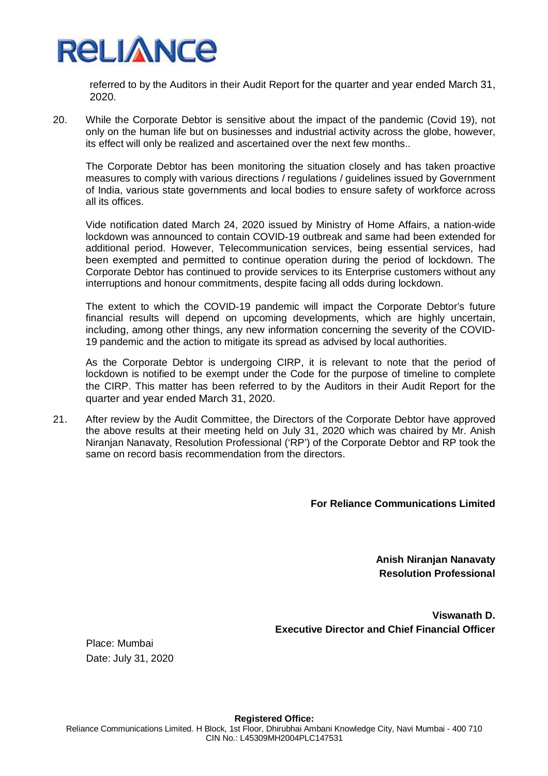

referred to by the Auditors in their Audit Report for the quarter and year ended March 31, 2020.

20. While the Corporate Debtor is sensitive about the impact of the pandemic (Covid 19), not only on the human life but on businesses and industrial activity across the globe, however, its effect will only be realized and ascertained over the next few months..

The Corporate Debtor has been monitoring the situation closely and has taken proactive measures to comply with various directions / regulations / guidelines issued by Government of India, various state governments and local bodies to ensure safety of workforce across all its offices.

Vide notification dated March 24, 2020 issued by Ministry of Home Affairs, a nation-wide lockdown was announced to contain COVID-19 outbreak and same had been extended for additional period. However, Telecommunication services, being essential services, had been exempted and permitted to continue operation during the period of lockdown. The Corporate Debtor has continued to provide services to its Enterprise customers without any interruptions and honour commitments, despite facing all odds during lockdown.

The extent to which the COVID-19 pandemic will impact the Corporate Debtor's future financial results will depend on upcoming developments, which are highly uncertain, including, among other things, any new information concerning the severity of the COVID-19 pandemic and the action to mitigate its spread as advised by local authorities.

As the Corporate Debtor is undergoing CIRP, it is relevant to note that the period of lockdown is notified to be exempt under the Code for the purpose of timeline to complete the CIRP. This matter has been referred to by the Auditors in their Audit Report for the quarter and year ended March 31, 2020.

21. After review by the Audit Committee, the Directors of the Corporate Debtor have approved the above results at their meeting held on July 31, 2020 which was chaired by Mr. Anish Niranjan Nanavaty, Resolution Professional ('RP') of the Corporate Debtor and RP took the same on record basis recommendation from the directors.

## **For Reliance Communications Limited**

**Anish Niranjan Nanavaty Resolution Professional**

**Viswanath D. Executive Director and Chief Financial Officer**

Place: Mumbai Date: July 31, 2020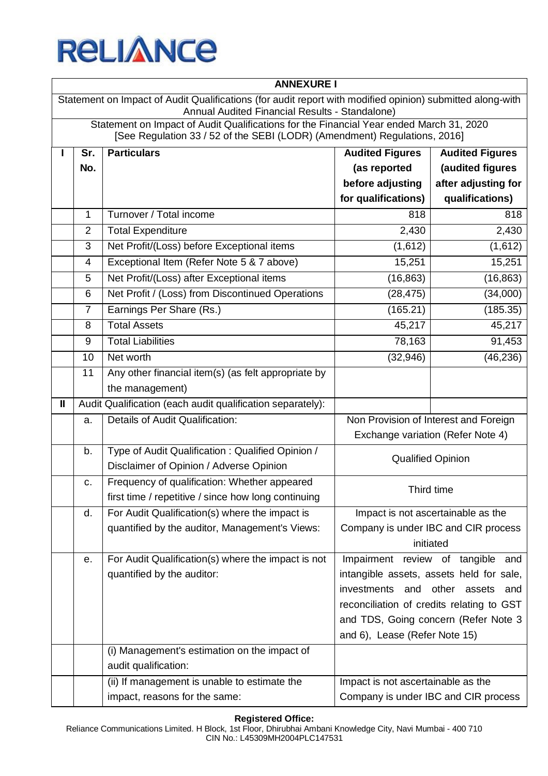

|                                                                                                                                                             | <b>ANNEXURE I</b>                                                                                                                                                    |                                                            |                                    |                                           |  |  |
|-------------------------------------------------------------------------------------------------------------------------------------------------------------|----------------------------------------------------------------------------------------------------------------------------------------------------------------------|------------------------------------------------------------|------------------------------------|-------------------------------------------|--|--|
| Statement on Impact of Audit Qualifications (for audit report with modified opinion) submitted along-with<br>Annual Audited Financial Results - Standalone) |                                                                                                                                                                      |                                                            |                                    |                                           |  |  |
|                                                                                                                                                             | Statement on Impact of Audit Qualifications for the Financial Year ended March 31, 2020<br>[See Regulation 33 / 52 of the SEBI (LODR) (Amendment) Regulations, 2016] |                                                            |                                    |                                           |  |  |
|                                                                                                                                                             | Sr.                                                                                                                                                                  | <b>Particulars</b>                                         | <b>Audited Figures</b>             | <b>Audited Figures</b>                    |  |  |
|                                                                                                                                                             | No.                                                                                                                                                                  |                                                            | (as reported                       | (audited figures                          |  |  |
|                                                                                                                                                             |                                                                                                                                                                      |                                                            | before adjusting                   | after adjusting for                       |  |  |
|                                                                                                                                                             |                                                                                                                                                                      |                                                            | for qualifications)                | qualifications)                           |  |  |
|                                                                                                                                                             | $\mathbf{1}$                                                                                                                                                         | Turnover / Total income                                    | 818                                | 818                                       |  |  |
|                                                                                                                                                             | $\overline{2}$                                                                                                                                                       | <b>Total Expenditure</b>                                   | 2,430                              | 2,430                                     |  |  |
|                                                                                                                                                             | 3                                                                                                                                                                    | Net Profit/(Loss) before Exceptional items                 | (1,612)                            | (1,612)                                   |  |  |
|                                                                                                                                                             | 4                                                                                                                                                                    | Exceptional Item (Refer Note 5 & 7 above)                  | 15,251                             | 15,251                                    |  |  |
|                                                                                                                                                             | 5                                                                                                                                                                    | Net Profit/(Loss) after Exceptional items                  | (16, 863)                          | (16, 863)                                 |  |  |
|                                                                                                                                                             | 6                                                                                                                                                                    | Net Profit / (Loss) from Discontinued Operations           | (28, 475)                          | (34,000)                                  |  |  |
|                                                                                                                                                             | $\overline{7}$                                                                                                                                                       | Earnings Per Share (Rs.)                                   | (165.21)                           | (185.35)                                  |  |  |
|                                                                                                                                                             | 8                                                                                                                                                                    | <b>Total Assets</b>                                        | 45,217                             | 45,217                                    |  |  |
|                                                                                                                                                             | 9                                                                                                                                                                    | <b>Total Liabilities</b>                                   | 78,163                             | 91,453                                    |  |  |
|                                                                                                                                                             | 10                                                                                                                                                                   | Net worth                                                  | (32, 946)                          | (46, 236)                                 |  |  |
|                                                                                                                                                             | 11                                                                                                                                                                   | Any other financial item(s) (as felt appropriate by        |                                    |                                           |  |  |
|                                                                                                                                                             |                                                                                                                                                                      | the management)                                            |                                    |                                           |  |  |
| Ш                                                                                                                                                           |                                                                                                                                                                      | Audit Qualification (each audit qualification separately): |                                    |                                           |  |  |
|                                                                                                                                                             | a.                                                                                                                                                                   | Details of Audit Qualification:                            |                                    | Non Provision of Interest and Foreign     |  |  |
|                                                                                                                                                             |                                                                                                                                                                      |                                                            |                                    | Exchange variation (Refer Note 4)         |  |  |
|                                                                                                                                                             | b.                                                                                                                                                                   | Type of Audit Qualification: Qualified Opinion /           |                                    | <b>Qualified Opinion</b>                  |  |  |
|                                                                                                                                                             |                                                                                                                                                                      | Disclaimer of Opinion / Adverse Opinion                    |                                    |                                           |  |  |
|                                                                                                                                                             | c.                                                                                                                                                                   | Frequency of qualification: Whether appeared               |                                    | Third time                                |  |  |
|                                                                                                                                                             |                                                                                                                                                                      | first time / repetitive / since how long continuing        |                                    |                                           |  |  |
|                                                                                                                                                             | d.                                                                                                                                                                   | For Audit Qualification(s) where the impact is             |                                    | Impact is not ascertainable as the        |  |  |
|                                                                                                                                                             |                                                                                                                                                                      | quantified by the auditor, Management's Views:             |                                    | Company is under IBC and CIR process      |  |  |
|                                                                                                                                                             |                                                                                                                                                                      |                                                            |                                    | initiated                                 |  |  |
|                                                                                                                                                             | е.                                                                                                                                                                   | For Audit Qualification(s) where the impact is not         |                                    | Impairment review of tangible and         |  |  |
|                                                                                                                                                             |                                                                                                                                                                      | quantified by the auditor:                                 |                                    | intangible assets, assets held for sale,  |  |  |
|                                                                                                                                                             |                                                                                                                                                                      |                                                            | investments<br>and                 | other assets and                          |  |  |
|                                                                                                                                                             |                                                                                                                                                                      |                                                            |                                    | reconciliation of credits relating to GST |  |  |
|                                                                                                                                                             |                                                                                                                                                                      |                                                            |                                    | and TDS, Going concern (Refer Note 3      |  |  |
|                                                                                                                                                             |                                                                                                                                                                      | (i) Management's estimation on the impact of               | and 6), Lease (Refer Note 15)      |                                           |  |  |
|                                                                                                                                                             |                                                                                                                                                                      | audit qualification:                                       |                                    |                                           |  |  |
|                                                                                                                                                             |                                                                                                                                                                      | (ii) If management is unable to estimate the               | Impact is not ascertainable as the |                                           |  |  |
|                                                                                                                                                             |                                                                                                                                                                      | impact, reasons for the same:                              |                                    | Company is under IBC and CIR process      |  |  |
|                                                                                                                                                             |                                                                                                                                                                      |                                                            |                                    |                                           |  |  |

### **Registered Office:**

Reliance Communications Limited. H Block, 1st Floor, Dhirubhai Ambani Knowledge City, Navi Mumbai - 400 710 CIN No.: L45309MH2004PLC147531